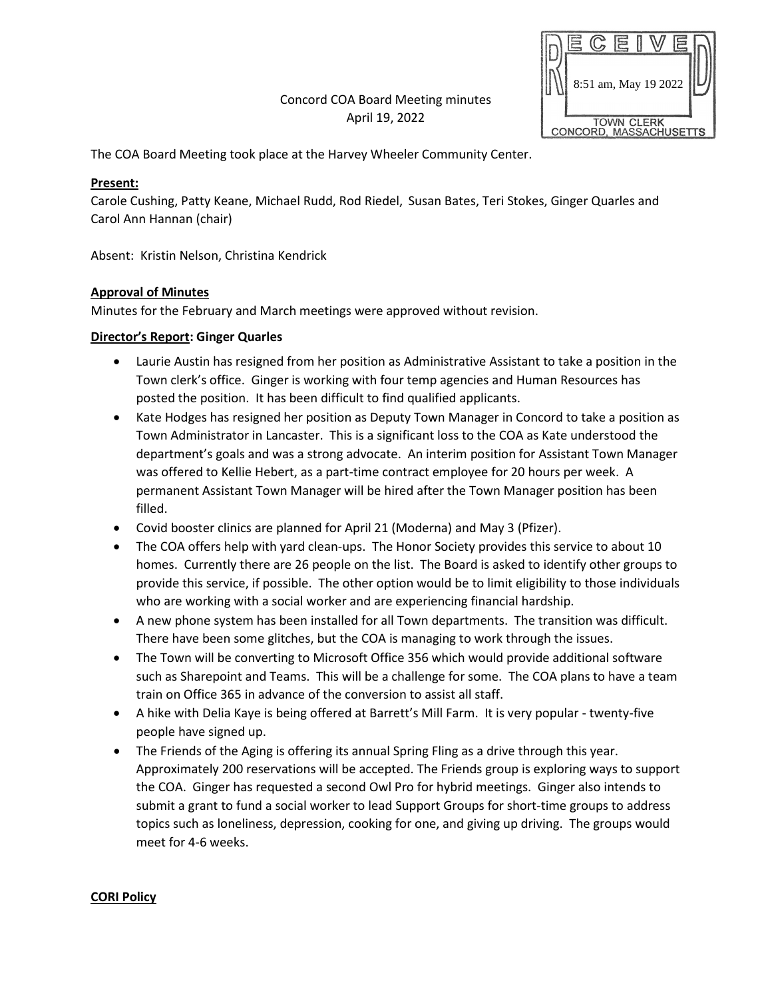Concord COA Board Meeting minutes April 19, 2022



The COA Board Meeting took place at the Harvey Wheeler Community Center.

### **Present:**

Carole Cushing, Patty Keane, Michael Rudd, Rod Riedel, Susan Bates, Teri Stokes, Ginger Quarles and Carol Ann Hannan (chair)

Absent: Kristin Nelson, Christina Kendrick

### **Approval of Minutes**

Minutes for the February and March meetings were approved without revision.

### **Director's Report: Ginger Quarles**

- Laurie Austin has resigned from her position as Administrative Assistant to take a position in the Town clerk's office. Ginger is working with four temp agencies and Human Resources has posted the position. It has been difficult to find qualified applicants.
- Kate Hodges has resigned her position as Deputy Town Manager in Concord to take a position as Town Administrator in Lancaster. This is a significant loss to the COA as Kate understood the department's goals and was a strong advocate. An interim position for Assistant Town Manager was offered to Kellie Hebert, as a part-time contract employee for 20 hours per week. A permanent Assistant Town Manager will be hired after the Town Manager position has been filled.
- Covid booster clinics are planned for April 21 (Moderna) and May 3 (Pfizer).
- The COA offers help with yard clean-ups. The Honor Society provides this service to about 10 homes. Currently there are 26 people on the list. The Board is asked to identify other groups to provide this service, if possible. The other option would be to limit eligibility to those individuals who are working with a social worker and are experiencing financial hardship.
- A new phone system has been installed for all Town departments. The transition was difficult. There have been some glitches, but the COA is managing to work through the issues.
- The Town will be converting to Microsoft Office 356 which would provide additional software such as Sharepoint and Teams. This will be a challenge for some. The COA plans to have a team train on Office 365 in advance of the conversion to assist all staff.
- A hike with Delia Kaye is being offered at Barrett's Mill Farm. It is very popular twenty-five people have signed up.
- The Friends of the Aging is offering its annual Spring Fling as a drive through this year. Approximately 200 reservations will be accepted. The Friends group is exploring ways to support the COA. Ginger has requested a second Owl Pro for hybrid meetings. Ginger also intends to submit a grant to fund a social worker to lead Support Groups for short-time groups to address topics such as loneliness, depression, cooking for one, and giving up driving. The groups would meet for 4-6 weeks.

#### **CORI Policy**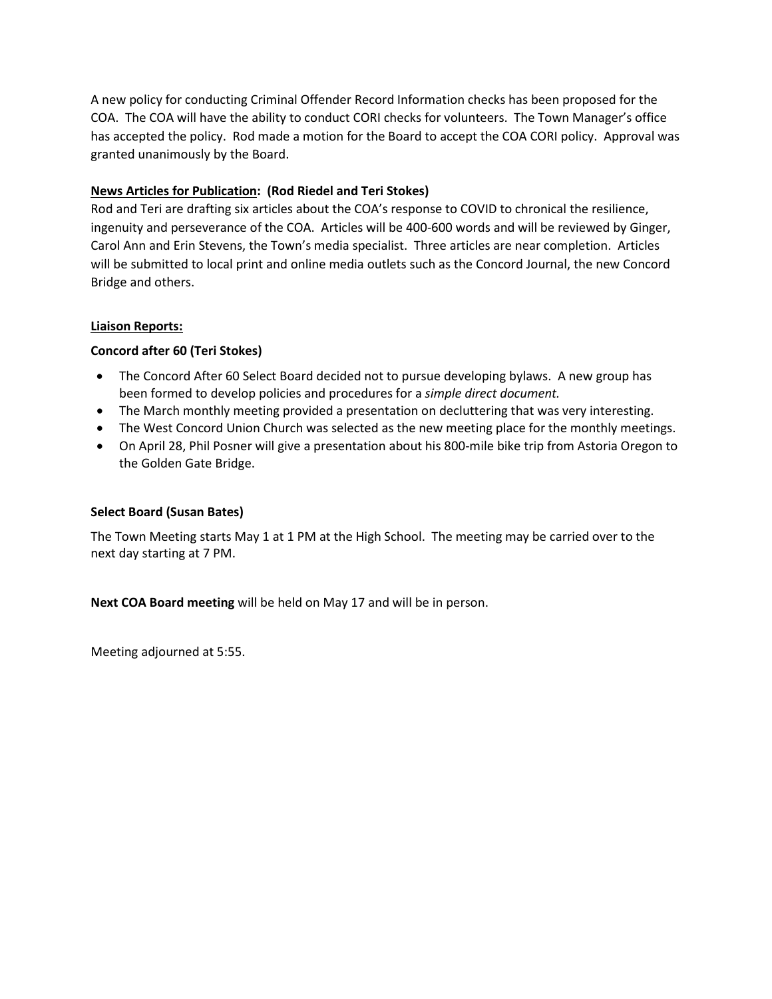A new policy for conducting Criminal Offender Record Information checks has been proposed for the COA. The COA will have the ability to conduct CORI checks for volunteers. The Town Manager's office has accepted the policy. Rod made a motion for the Board to accept the COA CORI policy. Approval was granted unanimously by the Board.

## **News Articles for Publication: (Rod Riedel and Teri Stokes)**

Rod and Teri are drafting six articles about the COA's response to COVID to chronical the resilience, ingenuity and perseverance of the COA. Articles will be 400-600 words and will be reviewed by Ginger, Carol Ann and Erin Stevens, the Town's media specialist. Three articles are near completion. Articles will be submitted to local print and online media outlets such as the Concord Journal, the new Concord Bridge and others.

### **Liaison Reports:**

## **Concord after 60 (Teri Stokes)**

- The Concord After 60 Select Board decided not to pursue developing bylaws. A new group has been formed to develop policies and procedures for a *simple direct document.*
- The March monthly meeting provided a presentation on decluttering that was very interesting.
- The West Concord Union Church was selected as the new meeting place for the monthly meetings.
- On April 28, Phil Posner will give a presentation about his 800-mile bike trip from Astoria Oregon to the Golden Gate Bridge.

## **Select Board (Susan Bates)**

The Town Meeting starts May 1 at 1 PM at the High School. The meeting may be carried over to the next day starting at 7 PM.

**Next COA Board meeting** will be held on May 17 and will be in person.

Meeting adjourned at 5:55.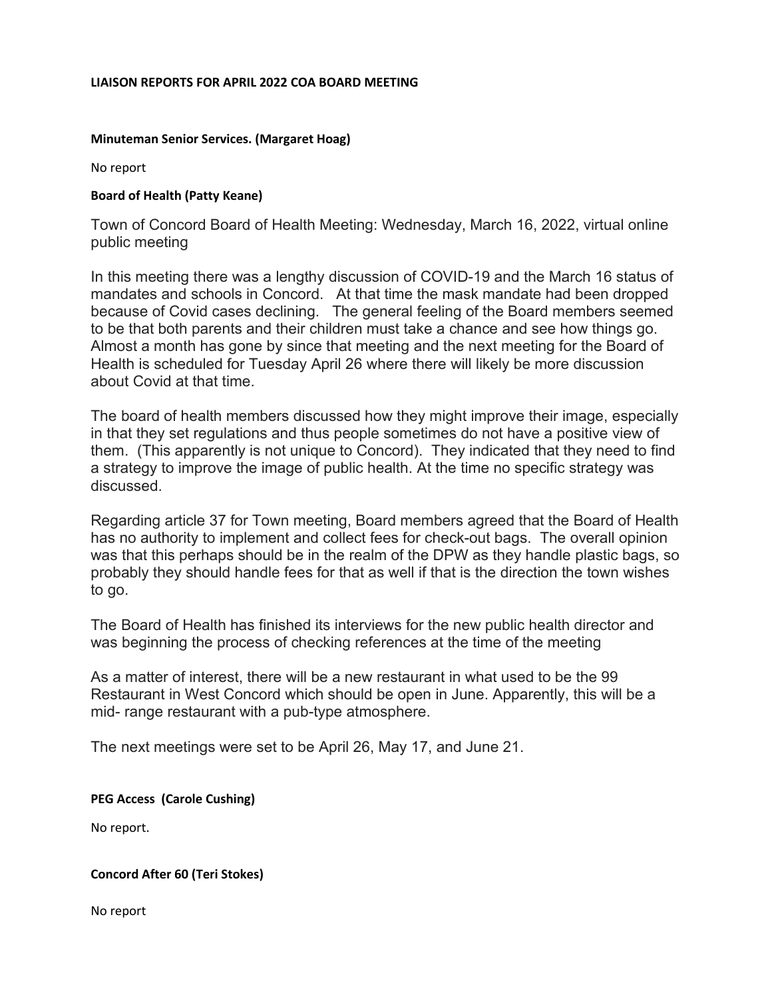#### **LIAISON REPORTS FOR APRIL 2022 COA BOARD MEETING**

### **Minuteman Senior Services. (Margaret Hoag)**

No report

### **Board of Health (Patty Keane)**

Town of Concord Board of Health Meeting: Wednesday, March 16, 2022, virtual online public meeting

In this meeting there was a lengthy discussion of COVID-19 and the March 16 status of mandates and schools in Concord. At that time the mask mandate had been dropped because of Covid cases declining. The general feeling of the Board members seemed to be that both parents and their children must take a chance and see how things go. Almost a month has gone by since that meeting and the next meeting for the Board of Health is scheduled for Tuesday April 26 where there will likely be more discussion about Covid at that time.

The board of health members discussed how they might improve their image, especially in that they set regulations and thus people sometimes do not have a positive view of them. (This apparently is not unique to Concord). They indicated that they need to find a strategy to improve the image of public health. At the time no specific strategy was discussed.

Regarding article 37 for Town meeting, Board members agreed that the Board of Health has no authority to implement and collect fees for check-out bags. The overall opinion was that this perhaps should be in the realm of the DPW as they handle plastic bags, so probably they should handle fees for that as well if that is the direction the town wishes to go.

The Board of Health has finished its interviews for the new public health director and was beginning the process of checking references at the time of the meeting

As a matter of interest, there will be a new restaurant in what used to be the 99 Restaurant in West Concord which should be open in June. Apparently, this will be a mid- range restaurant with a pub-type atmosphere.

The next meetings were set to be April 26, May 17, and June 21.

**PEG Access (Carole Cushing)**

No report.

#### **Concord After 60 (Teri Stokes)**

No report